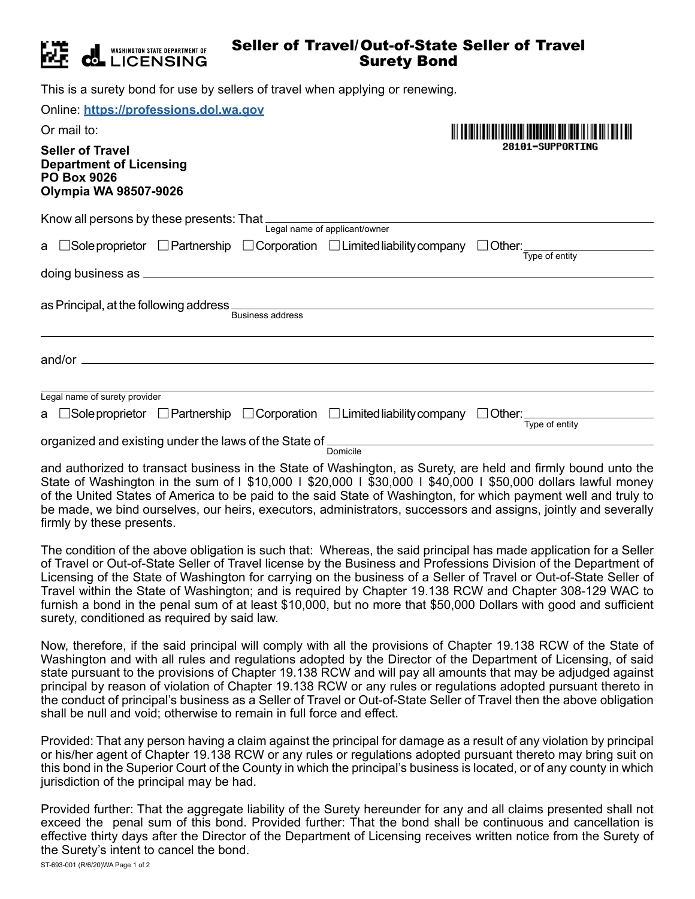

## Seller of Travel/Out-of-State Seller of Travel Surety Bond

This is a surety bond for use by sellers of travel when applying or renewing.

| Online: https://professions.dol.wa.gov                                                                                                          |                  |  |
|-------------------------------------------------------------------------------------------------------------------------------------------------|------------------|--|
| Or mail to:                                                                                                                                     |                  |  |
| <b>Seller of Travel</b><br><b>Department of Licensing</b><br><b>PO Box 9026</b><br><b>Olympia WA 98507-9026</b>                                 | 28101-SUPPORTING |  |
| Know all persons by these presents: That Legal name of applicant/owner                                                                          |                  |  |
| a $\Box$ Sole proprietor $\Box$ Partnership $\Box$ Corporation $\Box$ Limited liability company $\Box$ Other: $\frac{1}{\text{Type of entity}}$ |                  |  |
|                                                                                                                                                 |                  |  |
| <b>Business address</b>                                                                                                                         |                  |  |
|                                                                                                                                                 |                  |  |
| Legal name of surety provider                                                                                                                   |                  |  |
| a $\Box$ Sole proprietor $\Box$ Partnership $\Box$ Corporation $\Box$ Limited liability company $\Box$ Other: $\Box$                            | Type of entity   |  |
| organized and existing under the laws of the State of<br>Domicile                                                                               |                  |  |

and authorized to transact business in the State of Washington, as Surety, are held and firmly bound unto the State of Washington in the sum of I \$10,000 | \$20,000 | \$30,000 | \$40,000 | \$50,000 dollars lawful money of the United States of America to be paid to the said State of Washington, for which payment well and truly to be made, we bind ourselves, our heirs, executors, administrators, successors and assigns, jointly and severally firmly by these presents.

The condition of the above obligation is such that: Whereas, the said principal has made application for a Seller of Travel or Out-of-State Seller of Travel license by the Business and Professions Division of the Department of Licensing of the State of Washington for carrying on the business of a Seller of Travel or Out-of-State Seller of Travel within the State of Washington; and is required by Chapter 19.138 RCW and Chapter 308-129 WAC to furnish a bond in the penal sum of at least \$10,000, but no more that \$50,000 Dollars with good and sufficient surety, conditioned as required by said law.

Now, therefore, if the said principal will comply with all the provisions of Chapter 19.138 RCW of the State of Washington and with all rules and regulations adopted by the Director of the Department of Licensing, of said state pursuant to the provisions of Chapter 19.138 RCW and will pay all amounts that may be adjudged against principal by reason of violation of Chapter 19.138 RCW or any rules or regulations adopted pursuant thereto in the conduct of principal's business as a Seller of Travel or Out-of-State Seller of Travel then the above obligation shall be null and void; otherwise to remain in full force and effect.

Provided: That any person having a claim against the principal for damage as a result of any violation by principal or his/her agent of Chapter 19.138 RCW or any rules or regulations adopted pursuant thereto may bring suit on this bond in the Superior Court of the County in which the principal's business is located, or of any county in which jurisdiction of the principal may be had.

Provided further: That the aggregate liability of the Surety hereunder for any and all claims presented shall not exceed the penal sum of this bond. Provided further: That the bond shall be continuous and cancellation is effective thirty days after the Director of the Department of Licensing receives written notice from the Surety of the Surety's intent to cancel the bond.